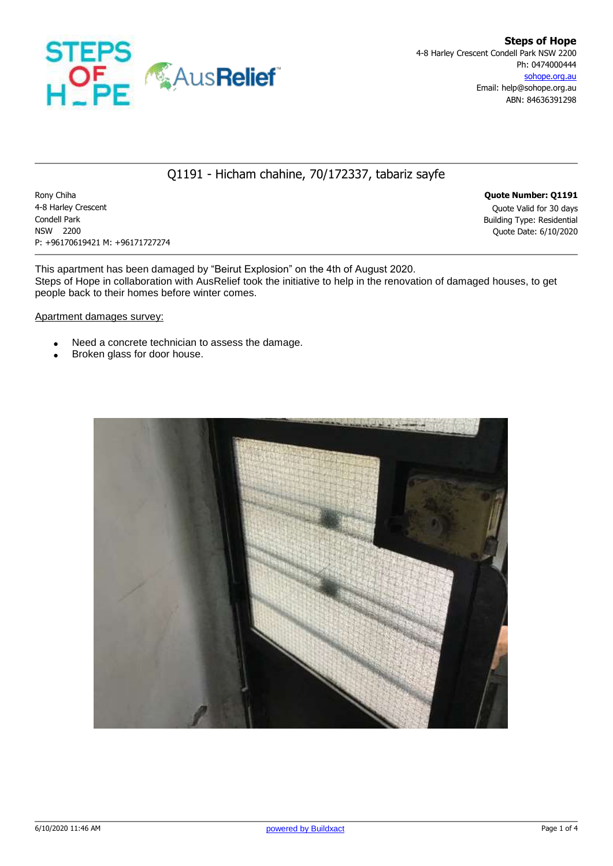

## Q1191 - Hicham chahine, 70/172337, tabariz sayfe

Rony Chiha **Quote Number: Q1191** 4-8 Harley Crescent Quote Valid for 30 days Condell Park Building Type: Residential NSW 2200 Quote Date: 6/10/2020 P: +96170619421 M: +96171727274

This apartment has been damaged by "Beirut Explosion" on the 4th of August 2020. Steps of Hope in collaboration with AusRelief took the initiative to help in the renovation of damaged houses, to get people back to their homes before winter comes.

Apartment damages survey:

- Need a concrete technician to assess the damage.
- Broken glass for door house.

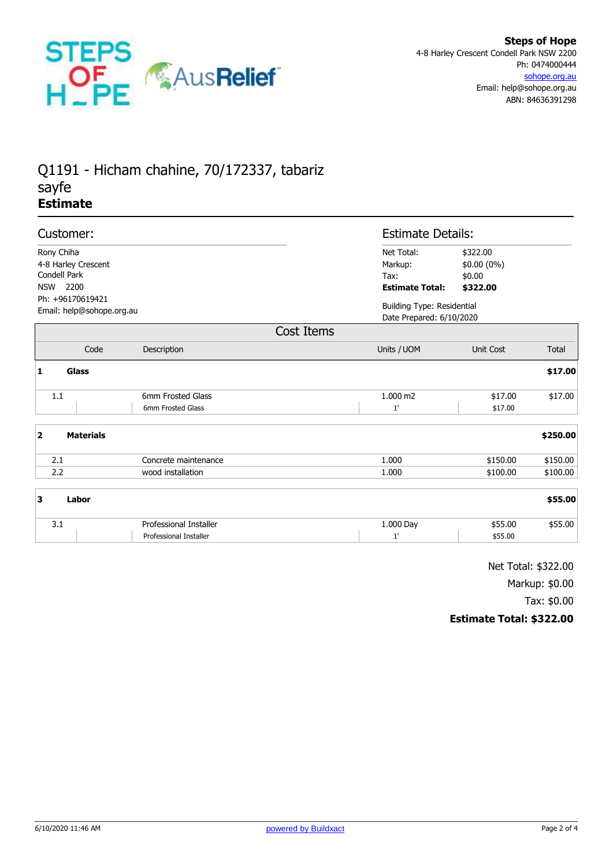

## Q1191 - Hicham chahine, 70/172337, tabariz sayfe **Estimate**

|                                                                                   | Customer:        |                                                  |                                                         | <b>Estimate Details:</b>                                      |              |  |
|-----------------------------------------------------------------------------------|------------------|--------------------------------------------------|---------------------------------------------------------|---------------------------------------------------------------|--------------|--|
| Rony Chiha<br>4-8 Harley Crescent<br>Condell Park<br>NSW 2200<br>Ph: +96170619421 |                  |                                                  | Net Total:<br>Markup:<br>Tax:<br><b>Estimate Total:</b> | \$322.00<br>$$0.00(0\%)$<br>\$0.00<br>\$322.00                |              |  |
| Email: help@sohope.org.au                                                         |                  |                                                  |                                                         | <b>Building Type: Residential</b><br>Date Prepared: 6/10/2020 |              |  |
|                                                                                   |                  |                                                  | Cost Items                                              |                                                               |              |  |
|                                                                                   | Code             | Description                                      | Units / UOM                                             | <b>Unit Cost</b>                                              | <b>Total</b> |  |
| $\mathbf{1}$                                                                      | Glass            |                                                  |                                                         |                                                               | \$17.00      |  |
| 1.1                                                                               |                  | 6mm Frosted Glass<br>6mm Frosted Glass           | 1.000 m2<br>1'                                          | \$17.00<br>\$17.00                                            | \$17.00      |  |
| $\overline{\mathbf{2}}$                                                           | <b>Materials</b> |                                                  |                                                         |                                                               | \$250.00     |  |
| 2.1                                                                               |                  | Concrete maintenance                             | 1.000                                                   | \$150.00                                                      | \$150.00     |  |
| 2.2                                                                               |                  | wood installation                                | 1.000                                                   | \$100.00                                                      | \$100.00     |  |
| 3                                                                                 | Labor            |                                                  |                                                         |                                                               | \$55.00      |  |
| 3.1                                                                               |                  | Professional Installer<br>Professional Installer | 1.000 Day<br>1'                                         | \$55.00<br>\$55.00                                            | \$55.00      |  |

Net Total: \$322.00

Markup: \$0.00

Tax: \$0.00

## **Estimate Total: \$322.00**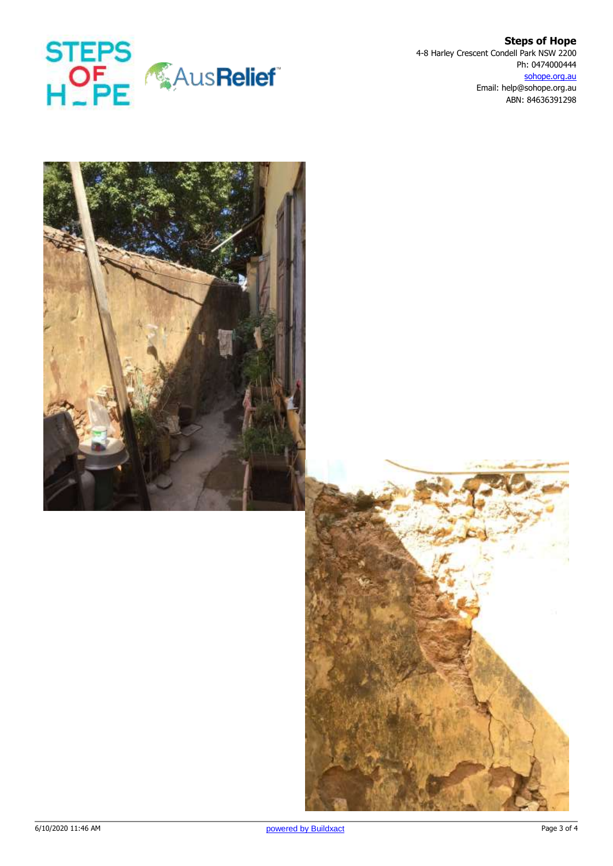

**Steps of Hope** 4-8 Harley Crescent Condell Park NSW 2200 Ph: 0474000444 sohope.org.au Email: help@sohope.org.au ABN: 84636391298



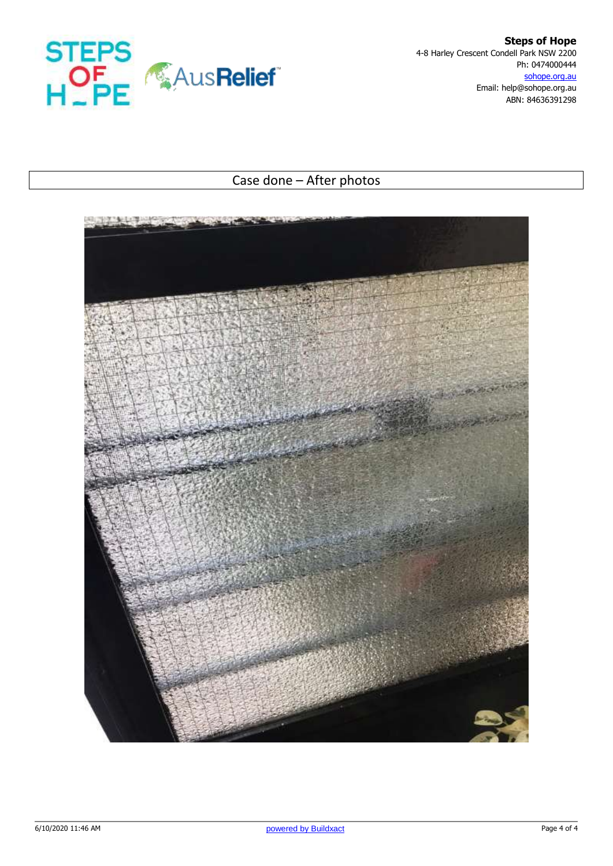

**Steps of Hope** 4-8 Harley Crescent Condell Park NSW 2200 Ph: 0474000444 sohope.org.au Email: help@sohope.org.au ABN: 84636391298

## Case done – After photos